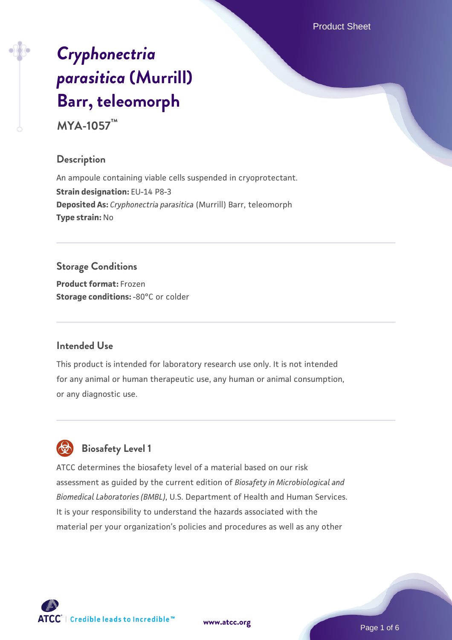Product Sheet

# *[Cryphonectria](https://www.atcc.org/products/mya-1057) [parasitica](https://www.atcc.org/products/mya-1057)* **[\(Murrill\)](https://www.atcc.org/products/mya-1057) [Barr, teleomorph](https://www.atcc.org/products/mya-1057)**

**MYA-1057™**

#### **Description**

An ampoule containing viable cells suspended in cryoprotectant. **Strain designation:** EU-14 P8-3 **Deposited As:** *Cryphonectria parasitica* (Murrill) Barr, teleomorph **Type strain:** No

# **Storage Conditions**

**Product format:** Frozen **Storage conditions: -80°C** or colder

## **Intended Use**

This product is intended for laboratory research use only. It is not intended for any animal or human therapeutic use, any human or animal consumption, or any diagnostic use.



# **Biosafety Level 1**

ATCC determines the biosafety level of a material based on our risk assessment as guided by the current edition of *Biosafety in Microbiological and Biomedical Laboratories (BMBL)*, U.S. Department of Health and Human Services. It is your responsibility to understand the hazards associated with the material per your organization's policies and procedures as well as any other

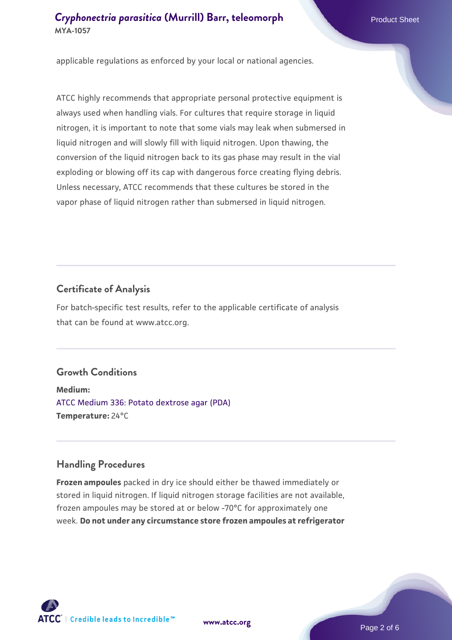applicable regulations as enforced by your local or national agencies.

ATCC highly recommends that appropriate personal protective equipment is always used when handling vials. For cultures that require storage in liquid nitrogen, it is important to note that some vials may leak when submersed in liquid nitrogen and will slowly fill with liquid nitrogen. Upon thawing, the conversion of the liquid nitrogen back to its gas phase may result in the vial exploding or blowing off its cap with dangerous force creating flying debris. Unless necessary, ATCC recommends that these cultures be stored in the vapor phase of liquid nitrogen rather than submersed in liquid nitrogen.

#### **Certificate of Analysis**

For batch-specific test results, refer to the applicable certificate of analysis that can be found at www.atcc.org.

#### **Growth Conditions**

**Medium:**  [ATCC Medium 336: Potato dextrose agar \(PDA\)](https://www.atcc.org/-/media/product-assets/documents/microbial-media-formulations/3/3/6/atcc-medium-336.pdf?rev=d9160ad44d934cd8b65175461abbf3b9) **Temperature:** 24°C

#### **Handling Procedures**

**Frozen ampoules** packed in dry ice should either be thawed immediately or stored in liquid nitrogen. If liquid nitrogen storage facilities are not available, frozen ampoules may be stored at or below -70°C for approximately one week. **Do not under any circumstance store frozen ampoules at refrigerator**



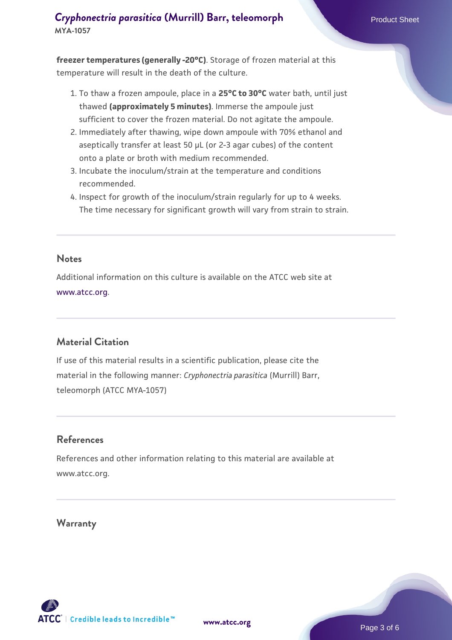**freezer temperatures (generally -20°C)**. Storage of frozen material at this temperature will result in the death of the culture.

- 1. To thaw a frozen ampoule, place in a **25°C to 30°C** water bath, until just thawed **(approximately 5 minutes)**. Immerse the ampoule just sufficient to cover the frozen material. Do not agitate the ampoule.
- 2. Immediately after thawing, wipe down ampoule with 70% ethanol and aseptically transfer at least 50 µL (or 2-3 agar cubes) of the content onto a plate or broth with medium recommended.
- 3. Incubate the inoculum/strain at the temperature and conditions recommended.
- 4. Inspect for growth of the inoculum/strain regularly for up to 4 weeks. The time necessary for significant growth will vary from strain to strain.

#### **Notes**

Additional information on this culture is available on the ATCC web site at [www.atcc.org.](http://www.atcc.org/)

## **Material Citation**

If use of this material results in a scientific publication, please cite the material in the following manner: *Cryphonectria parasitica* (Murrill) Barr, teleomorph (ATCC MYA-1057)

#### **References**

References and other information relating to this material are available at www.atcc.org.

#### **Warranty**

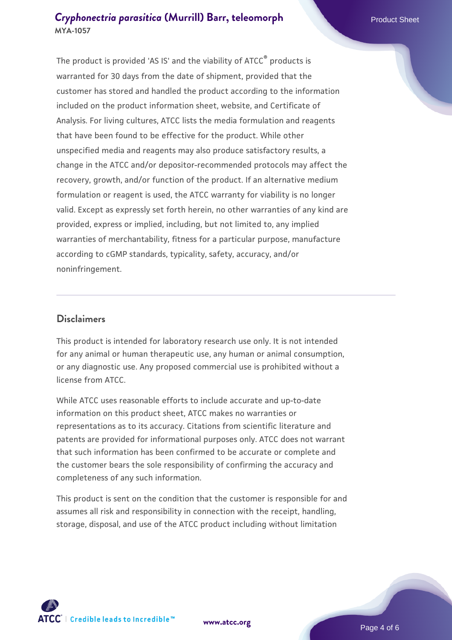The product is provided 'AS IS' and the viability of ATCC® products is warranted for 30 days from the date of shipment, provided that the customer has stored and handled the product according to the information included on the product information sheet, website, and Certificate of Analysis. For living cultures, ATCC lists the media formulation and reagents that have been found to be effective for the product. While other unspecified media and reagents may also produce satisfactory results, a change in the ATCC and/or depositor-recommended protocols may affect the recovery, growth, and/or function of the product. If an alternative medium formulation or reagent is used, the ATCC warranty for viability is no longer valid. Except as expressly set forth herein, no other warranties of any kind are provided, express or implied, including, but not limited to, any implied warranties of merchantability, fitness for a particular purpose, manufacture according to cGMP standards, typicality, safety, accuracy, and/or noninfringement.

#### **Disclaimers**

This product is intended for laboratory research use only. It is not intended for any animal or human therapeutic use, any human or animal consumption, or any diagnostic use. Any proposed commercial use is prohibited without a license from ATCC.

While ATCC uses reasonable efforts to include accurate and up-to-date information on this product sheet, ATCC makes no warranties or representations as to its accuracy. Citations from scientific literature and patents are provided for informational purposes only. ATCC does not warrant that such information has been confirmed to be accurate or complete and the customer bears the sole responsibility of confirming the accuracy and completeness of any such information.

This product is sent on the condition that the customer is responsible for and assumes all risk and responsibility in connection with the receipt, handling, storage, disposal, and use of the ATCC product including without limitation



**[www.atcc.org](http://www.atcc.org)**

Page 4 of 6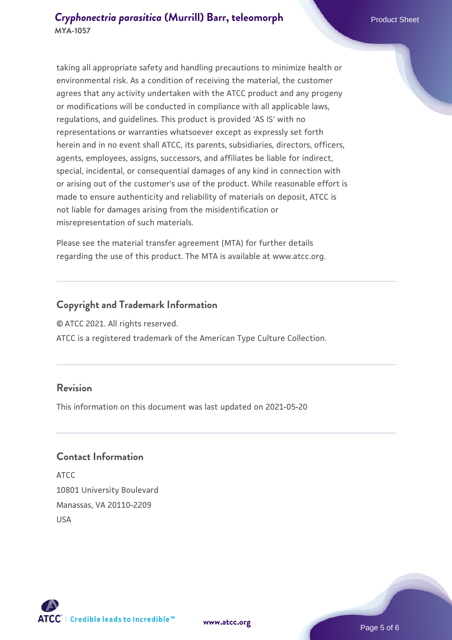taking all appropriate safety and handling precautions to minimize health or environmental risk. As a condition of receiving the material, the customer agrees that any activity undertaken with the ATCC product and any progeny or modifications will be conducted in compliance with all applicable laws, regulations, and guidelines. This product is provided 'AS IS' with no representations or warranties whatsoever except as expressly set forth herein and in no event shall ATCC, its parents, subsidiaries, directors, officers, agents, employees, assigns, successors, and affiliates be liable for indirect, special, incidental, or consequential damages of any kind in connection with or arising out of the customer's use of the product. While reasonable effort is made to ensure authenticity and reliability of materials on deposit, ATCC is not liable for damages arising from the misidentification or misrepresentation of such materials.

Please see the material transfer agreement (MTA) for further details regarding the use of this product. The MTA is available at www.atcc.org.

## **Copyright and Trademark Information**

© ATCC 2021. All rights reserved.

ATCC is a registered trademark of the American Type Culture Collection.

#### **Revision**

This information on this document was last updated on 2021-05-20

#### **Contact Information**

ATCC 10801 University Boulevard Manassas, VA 20110-2209 USA